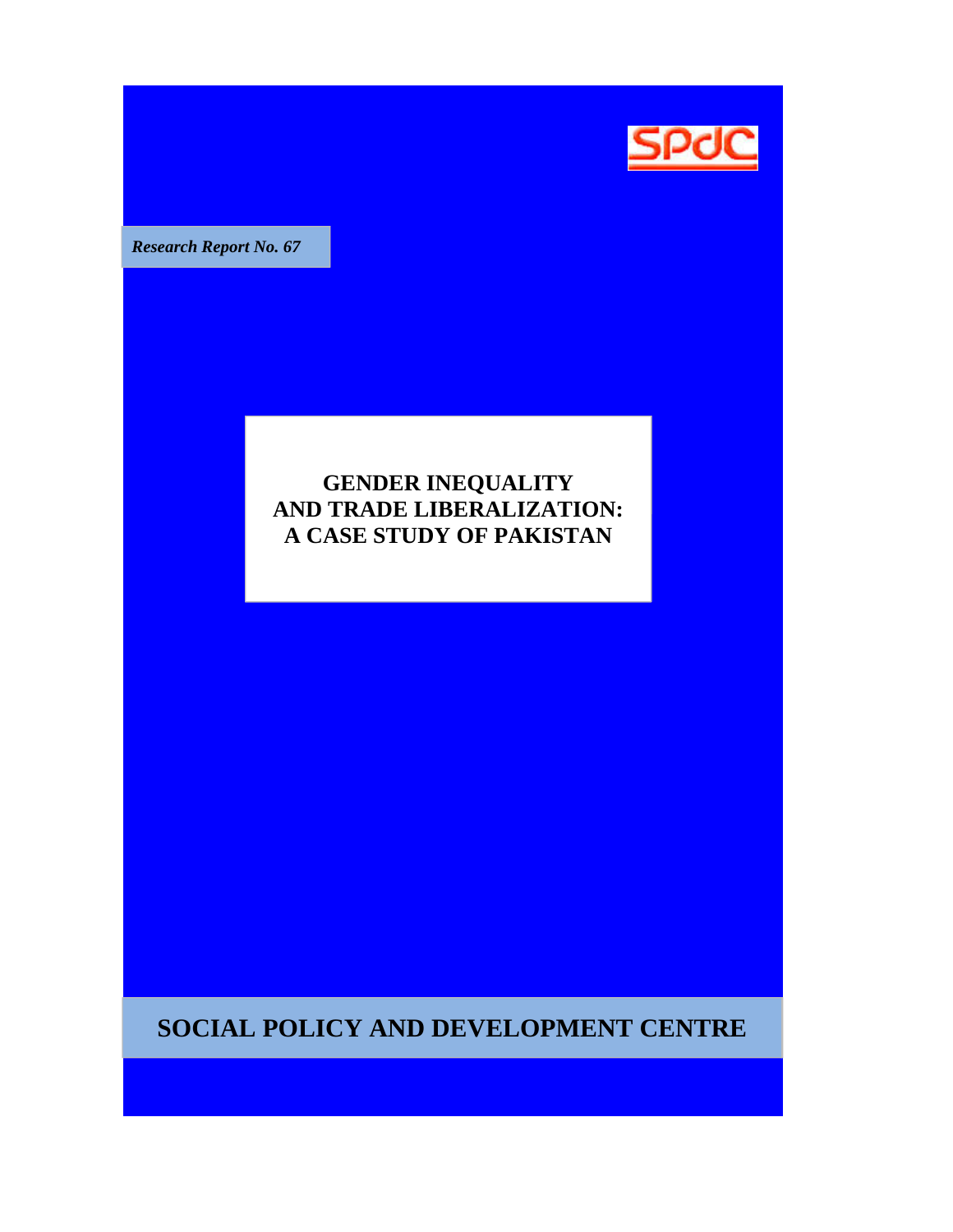

**Research Report No. 67** 

# **GENDER INEQUALITY AND TRADE LIBERALIZATION: A CASE STUDY OF PAKISTAN**

**SOCIAL POLICY AND DEVELOPMENT CENTRE**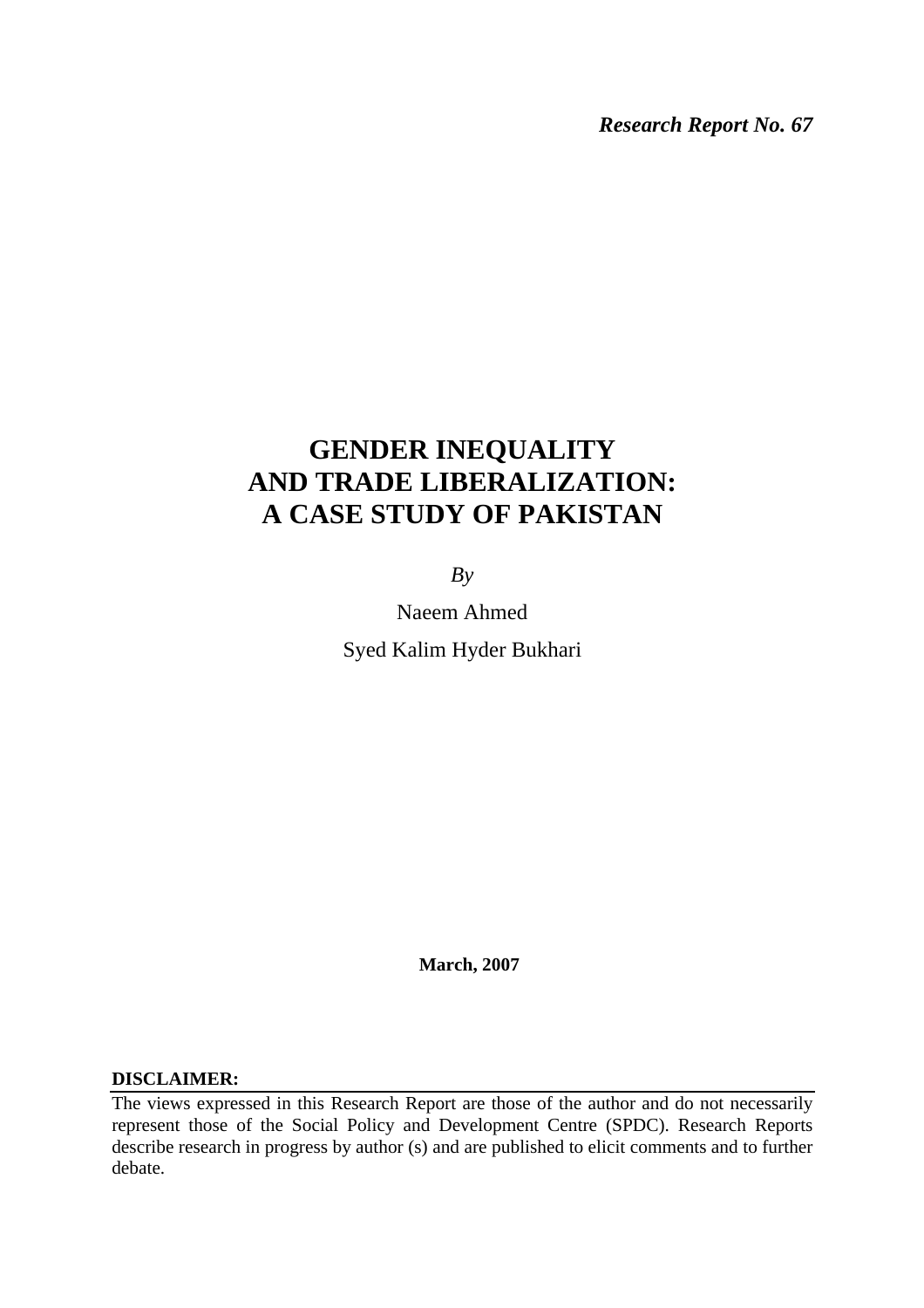*Research Report No. 67* 

# **GENDER INEQUALITY AND TRADE LIBERALIZATION: A CASE STUDY OF PAKISTAN**

 $Bv$ 

Naeem Ahmed Syed Kalim Hyder Bukhari

 **March, 2007** 

## **DISCLAIMER:**

The views expressed in this Research Report are those of the author and do not necessarily represent those of the Social Policy and Development Centre (SPDC). Research Reports describe research in progress by author (s) and are published to elicit comments and to further debate.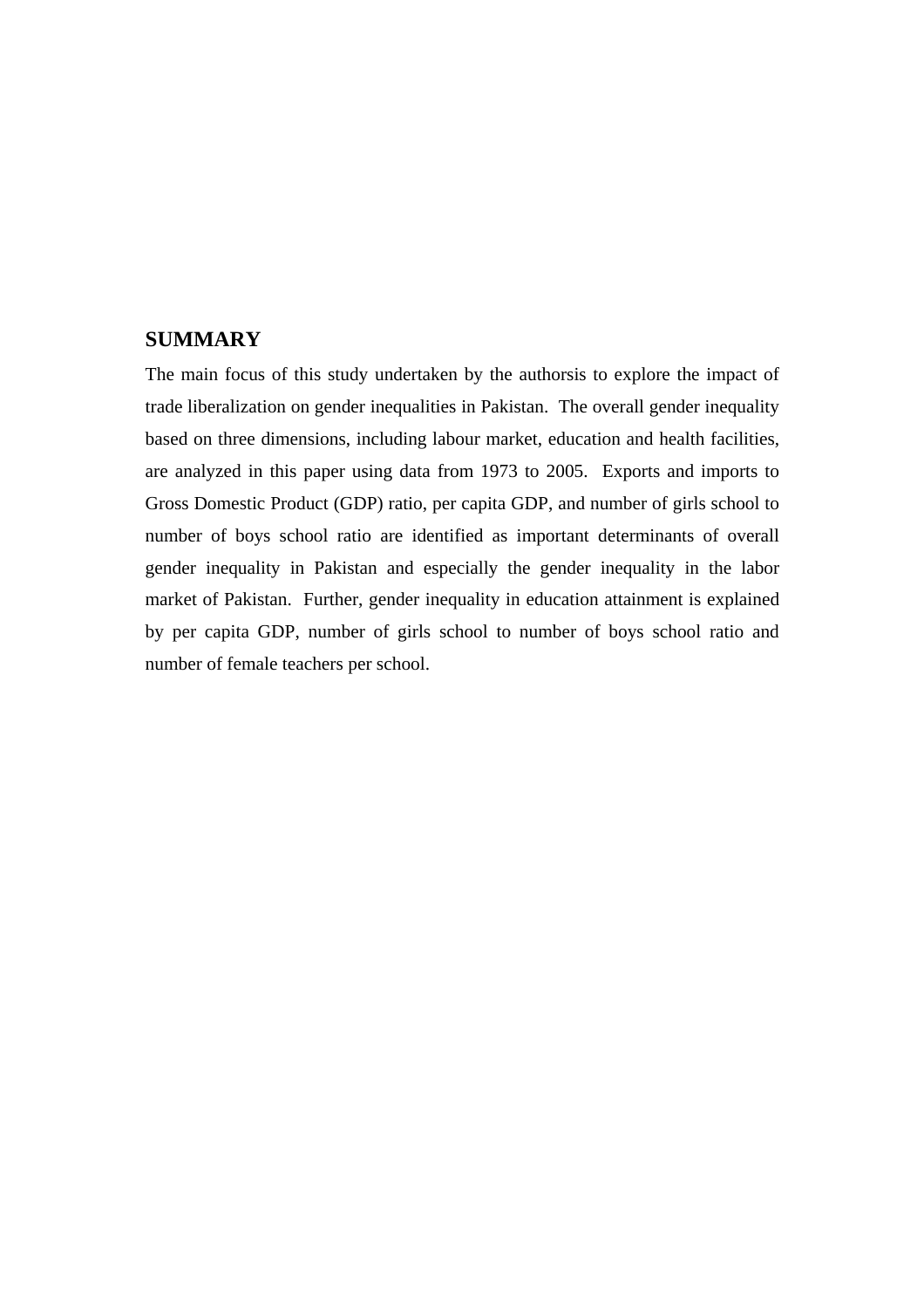# **SUMMARY**

The main focus of this study undertaken by the authorsis to explore the impact of trade liberalization on gender inequalities in Pakistan. The overall gender inequality based on three dimensions, including labour market, education and health facilities, are analyzed in this paper using data from 1973 to 2005. Exports and imports to Gross Domestic Product (GDP) ratio, per capita GDP, and number of girls school to number of boys school ratio are identified as important determinants of overall gender inequality in Pakistan and especially the gender inequality in the labor market of Pakistan. Further, gender inequality in education attainment is explained by per capita GDP, number of girls school to number of boys school ratio and number of female teachers per school.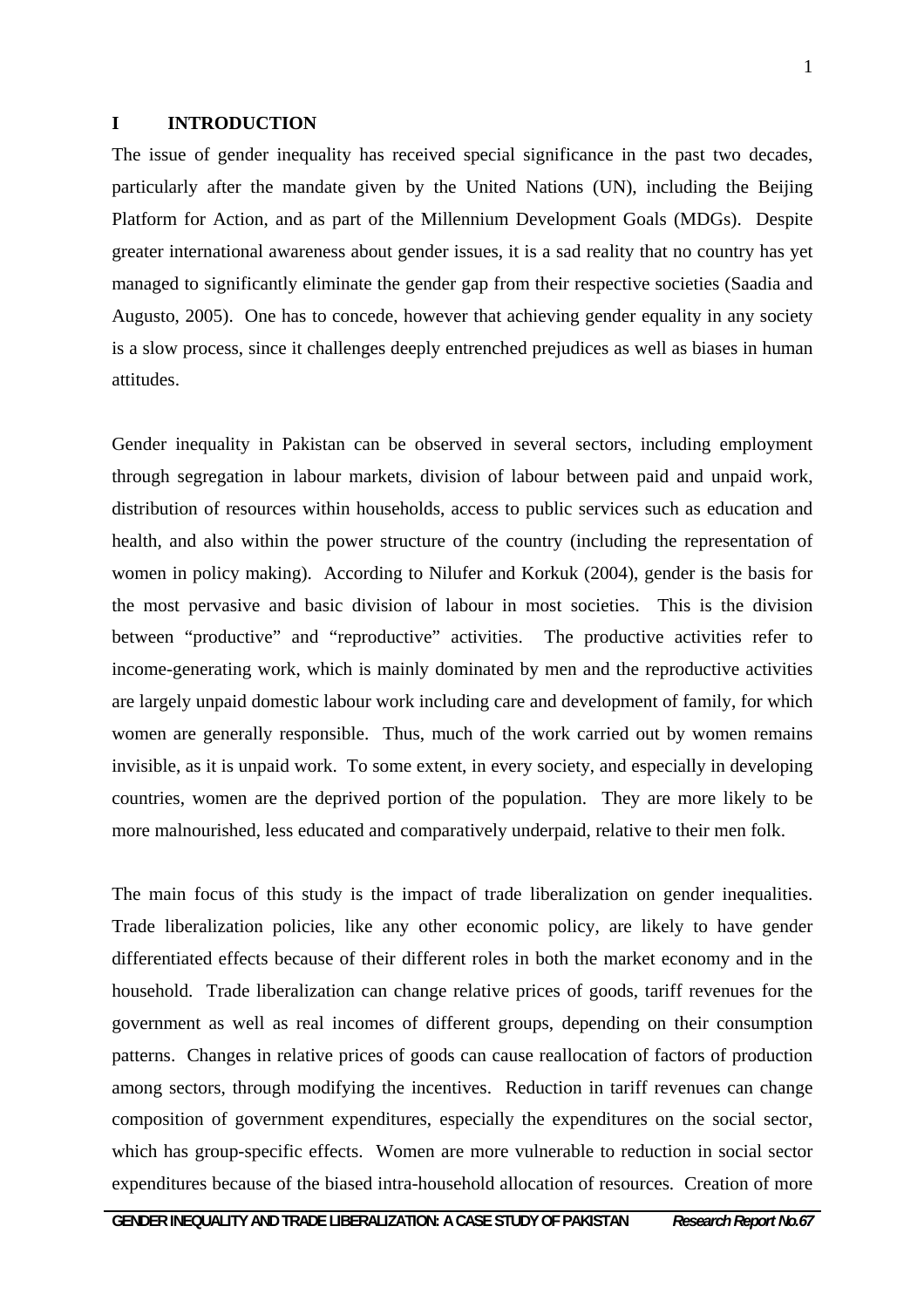#### **I INTRODUCTION**

The issue of gender inequality has received special significance in the past two decades, particularly after the mandate given by the United Nations (UN), including the Beijing Platform for Action, and as part of the Millennium Development Goals (MDGs). Despite greater international awareness about gender issues, it is a sad reality that no country has yet managed to significantly eliminate the gender gap from their respective societies (Saadia and Augusto, 2005). One has to concede, however that achieving gender equality in any society is a slow process, since it challenges deeply entrenched prejudices as well as biases in human attitudes.

Gender inequality in Pakistan can be observed in several sectors, including employment through segregation in labour markets, division of labour between paid and unpaid work, distribution of resources within households, access to public services such as education and health, and also within the power structure of the country (including the representation of women in policy making). According to Nilufer and Korkuk (2004), gender is the basis for the most pervasive and basic division of labour in most societies. This is the division between "productive" and "reproductive" activities. The productive activities refer to income-generating work, which is mainly dominated by men and the reproductive activities are largely unpaid domestic labour work including care and development of family, for which women are generally responsible. Thus, much of the work carried out by women remains invisible, as it is unpaid work. To some extent, in every society, and especially in developing countries, women are the deprived portion of the population. They are more likely to be more malnourished, less educated and comparatively underpaid, relative to their men folk.

The main focus of this study is the impact of trade liberalization on gender inequalities. Trade liberalization policies, like any other economic policy, are likely to have gender differentiated effects because of their different roles in both the market economy and in the household. Trade liberalization can change relative prices of goods, tariff revenues for the government as well as real incomes of different groups, depending on their consumption patterns. Changes in relative prices of goods can cause reallocation of factors of production among sectors, through modifying the incentives. Reduction in tariff revenues can change composition of government expenditures, especially the expenditures on the social sector, which has group-specific effects. Women are more vulnerable to reduction in social sector expenditures because of the biased intra-household allocation of resources. Creation of more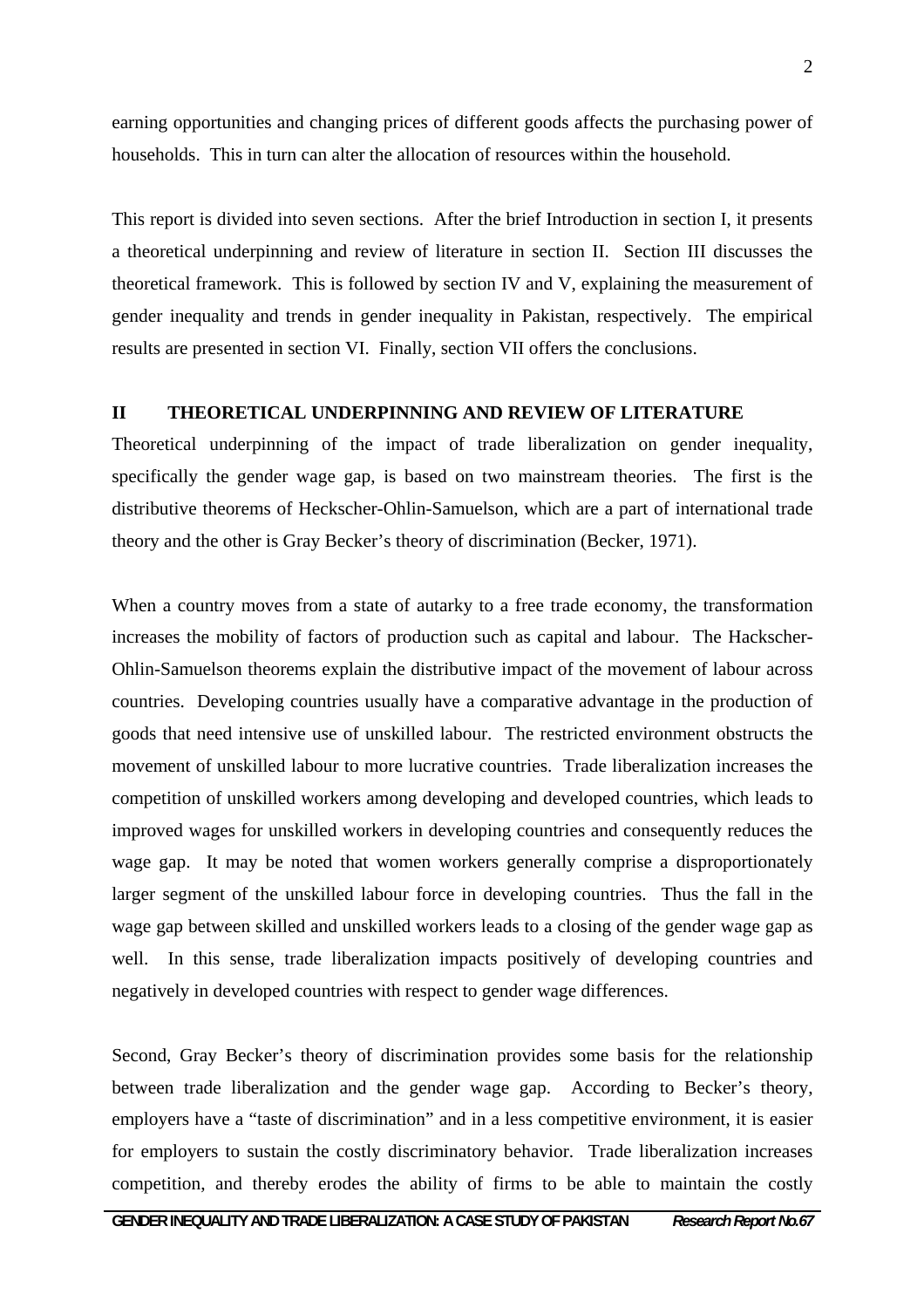earning opportunities and changing prices of different goods affects the purchasing power of households. This in turn can alter the allocation of resources within the household.

This report is divided into seven sections. After the brief Introduction in section I, it presents a theoretical underpinning and review of literature in section II. Section III discusses the theoretical framework. This is followed by section IV and V, explaining the measurement of gender inequality and trends in gender inequality in Pakistan, respectively. The empirical results are presented in section VI. Finally, section VII offers the conclusions.

#### **II THEORETICAL UNDERPINNING AND REVIEW OF LITERATURE**

Theoretical underpinning of the impact of trade liberalization on gender inequality, specifically the gender wage gap, is based on two mainstream theories. The first is the distributive theorems of Heckscher-Ohlin-Samuelson, which are a part of international trade theory and the other is Gray Becker's theory of discrimination (Becker, 1971).

When a country moves from a state of autarky to a free trade economy, the transformation increases the mobility of factors of production such as capital and labour. The Hackscher-Ohlin-Samuelson theorems explain the distributive impact of the movement of labour across countries. Developing countries usually have a comparative advantage in the production of goods that need intensive use of unskilled labour. The restricted environment obstructs the movement of unskilled labour to more lucrative countries. Trade liberalization increases the competition of unskilled workers among developing and developed countries, which leads to improved wages for unskilled workers in developing countries and consequently reduces the wage gap. It may be noted that women workers generally comprise a disproportionately larger segment of the unskilled labour force in developing countries. Thus the fall in the wage gap between skilled and unskilled workers leads to a closing of the gender wage gap as well. In this sense, trade liberalization impacts positively of developing countries and negatively in developed countries with respect to gender wage differences.

Second, Gray Becker's theory of discrimination provides some basis for the relationship between trade liberalization and the gender wage gap. According to Becker's theory, employers have a "taste of discrimination" and in a less competitive environment, it is easier for employers to sustain the costly discriminatory behavior. Trade liberalization increases competition, and thereby erodes the ability of firms to be able to maintain the costly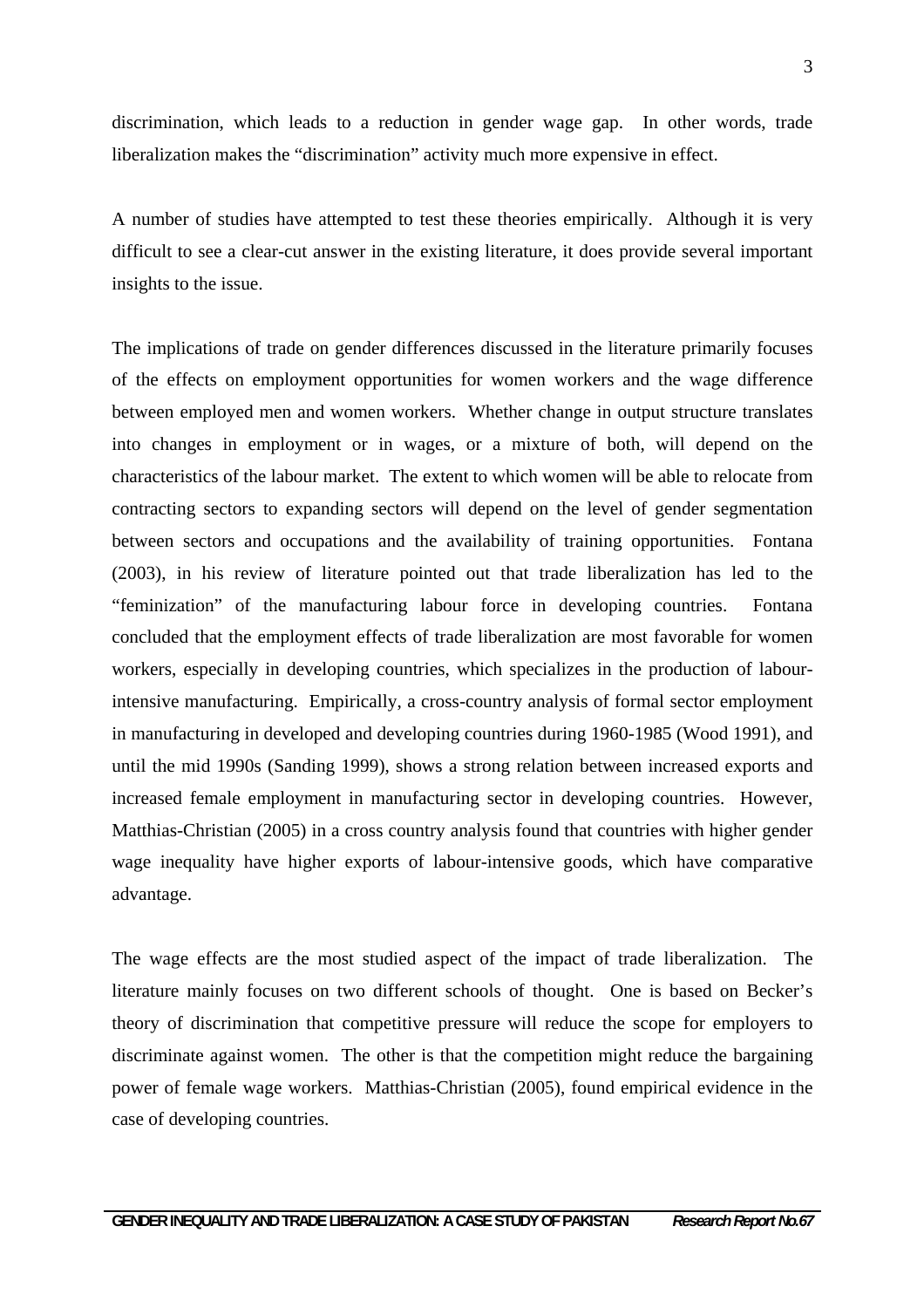discrimination, which leads to a reduction in gender wage gap. In other words, trade liberalization makes the "discrimination" activity much more expensive in effect.

A number of studies have attempted to test these theories empirically. Although it is very difficult to see a clear-cut answer in the existing literature, it does provide several important insights to the issue.

The implications of trade on gender differences discussed in the literature primarily focuses of the effects on employment opportunities for women workers and the wage difference between employed men and women workers. Whether change in output structure translates into changes in employment or in wages, or a mixture of both, will depend on the characteristics of the labour market. The extent to which women will be able to relocate from contracting sectors to expanding sectors will depend on the level of gender segmentation between sectors and occupations and the availability of training opportunities. Fontana (2003), in his review of literature pointed out that trade liberalization has led to the "feminization" of the manufacturing labour force in developing countries. Fontana concluded that the employment effects of trade liberalization are most favorable for women workers, especially in developing countries, which specializes in the production of labourintensive manufacturing. Empirically, a cross-country analysis of formal sector employment in manufacturing in developed and developing countries during 1960-1985 (Wood 1991), and until the mid 1990s (Sanding 1999), shows a strong relation between increased exports and increased female employment in manufacturing sector in developing countries. However, Matthias-Christian (2005) in a cross country analysis found that countries with higher gender wage inequality have higher exports of labour-intensive goods, which have comparative advantage.

The wage effects are the most studied aspect of the impact of trade liberalization. The literature mainly focuses on two different schools of thought. One is based on Becker's theory of discrimination that competitive pressure will reduce the scope for employers to discriminate against women. The other is that the competition might reduce the bargaining power of female wage workers. Matthias-Christian (2005), found empirical evidence in the case of developing countries.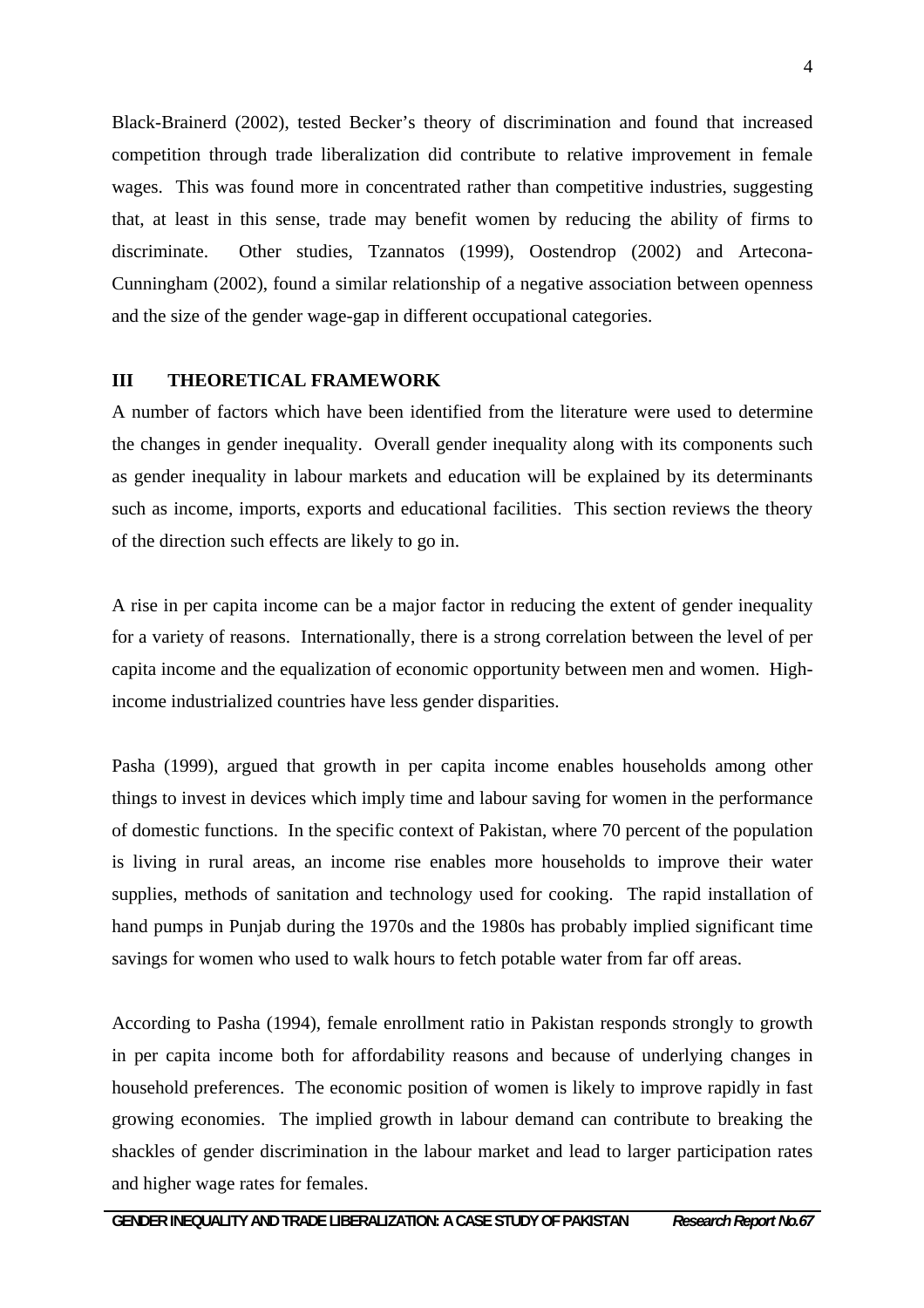Black-Brainerd (2002), tested Becker's theory of discrimination and found that increased competition through trade liberalization did contribute to relative improvement in female wages. This was found more in concentrated rather than competitive industries, suggesting that, at least in this sense, trade may benefit women by reducing the ability of firms to discriminate. Other studies, Tzannatos (1999), Oostendrop (2002) and Artecona-Cunningham (2002), found a similar relationship of a negative association between openness and the size of the gender wage-gap in different occupational categories.

#### **III THEORETICAL FRAMEWORK**

A number of factors which have been identified from the literature were used to determine the changes in gender inequality. Overall gender inequality along with its components such as gender inequality in labour markets and education will be explained by its determinants such as income, imports, exports and educational facilities. This section reviews the theory of the direction such effects are likely to go in.

A rise in per capita income can be a major factor in reducing the extent of gender inequality for a variety of reasons. Internationally, there is a strong correlation between the level of per capita income and the equalization of economic opportunity between men and women. Highincome industrialized countries have less gender disparities.

Pasha (1999), argued that growth in per capita income enables households among other things to invest in devices which imply time and labour saving for women in the performance of domestic functions. In the specific context of Pakistan, where 70 percent of the population is living in rural areas, an income rise enables more households to improve their water supplies, methods of sanitation and technology used for cooking. The rapid installation of hand pumps in Punjab during the 1970s and the 1980s has probably implied significant time savings for women who used to walk hours to fetch potable water from far off areas.

According to Pasha (1994), female enrollment ratio in Pakistan responds strongly to growth in per capita income both for affordability reasons and because of underlying changes in household preferences. The economic position of women is likely to improve rapidly in fast growing economies. The implied growth in labour demand can contribute to breaking the shackles of gender discrimination in the labour market and lead to larger participation rates and higher wage rates for females.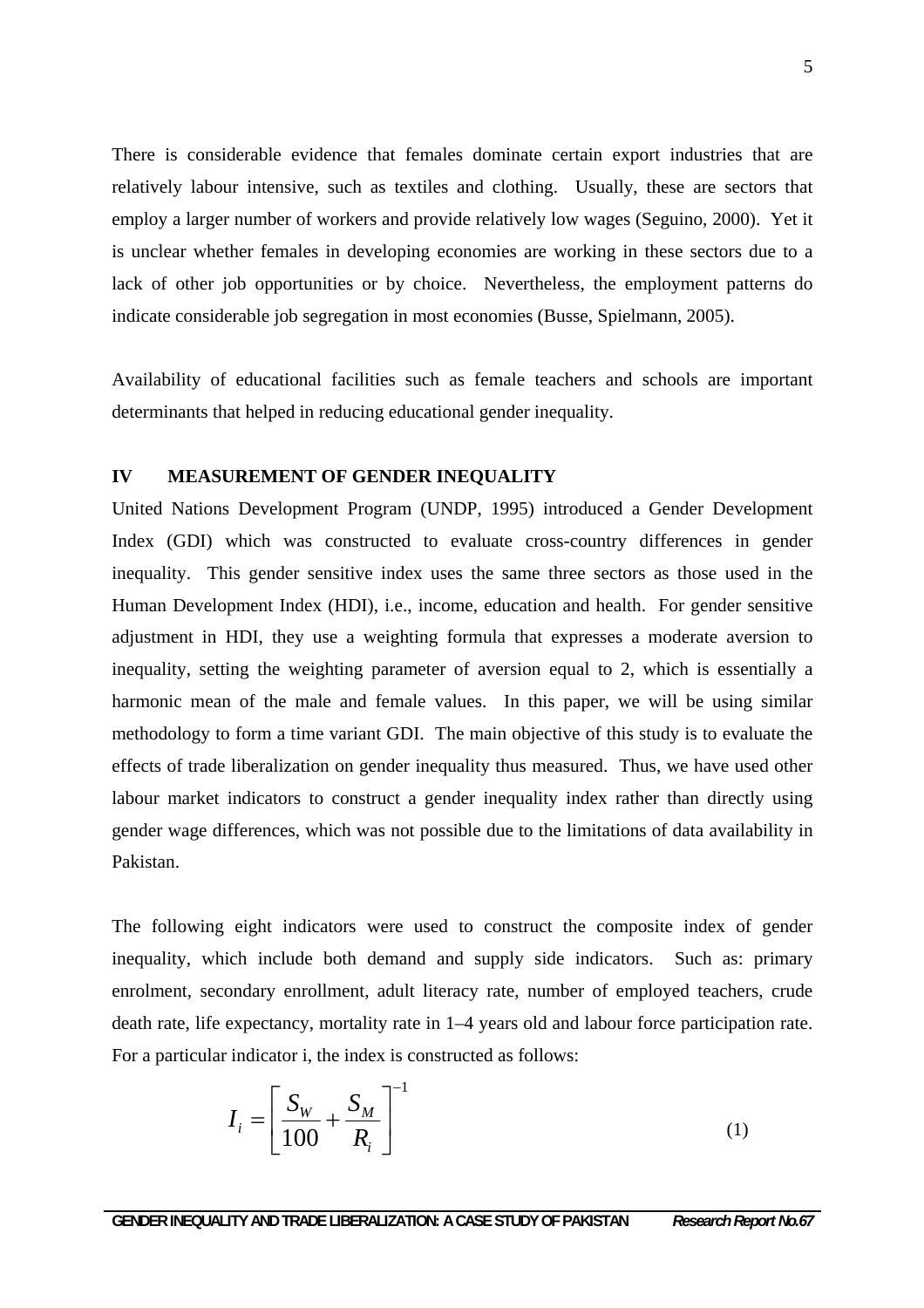There is considerable evidence that females dominate certain export industries that are relatively labour intensive, such as textiles and clothing. Usually, these are sectors that employ a larger number of workers and provide relatively low wages (Seguino, 2000). Yet it is unclear whether females in developing economies are working in these sectors due to a lack of other job opportunities or by choice. Nevertheless, the employment patterns do indicate considerable job segregation in most economies (Busse, Spielmann, 2005).

Availability of educational facilities such as female teachers and schools are important determinants that helped in reducing educational gender inequality.

#### **IV MEASUREMENT OF GENDER INEQUALITY**

United Nations Development Program (UNDP, 1995) introduced a Gender Development Index (GDI) which was constructed to evaluate cross-country differences in gender inequality. This gender sensitive index uses the same three sectors as those used in the Human Development Index (HDI), i.e., income, education and health. For gender sensitive adjustment in HDI, they use a weighting formula that expresses a moderate aversion to inequality, setting the weighting parameter of aversion equal to 2, which is essentially a harmonic mean of the male and female values. In this paper, we will be using similar methodology to form a time variant GDI. The main objective of this study is to evaluate the effects of trade liberalization on gender inequality thus measured. Thus, we have used other labour market indicators to construct a gender inequality index rather than directly using gender wage differences, which was not possible due to the limitations of data availability in Pakistan.

The following eight indicators were used to construct the composite index of gender inequality, which include both demand and supply side indicators. Such as: primary enrolment, secondary enrollment, adult literacy rate, number of employed teachers, crude death rate, life expectancy, mortality rate in 1–4 years old and labour force participation rate. For a particular indicator i, the index is constructed as follows:

$$
I_i = \left[\frac{S_W}{100} + \frac{S_M}{R_i}\right]^{-1} \tag{1}
$$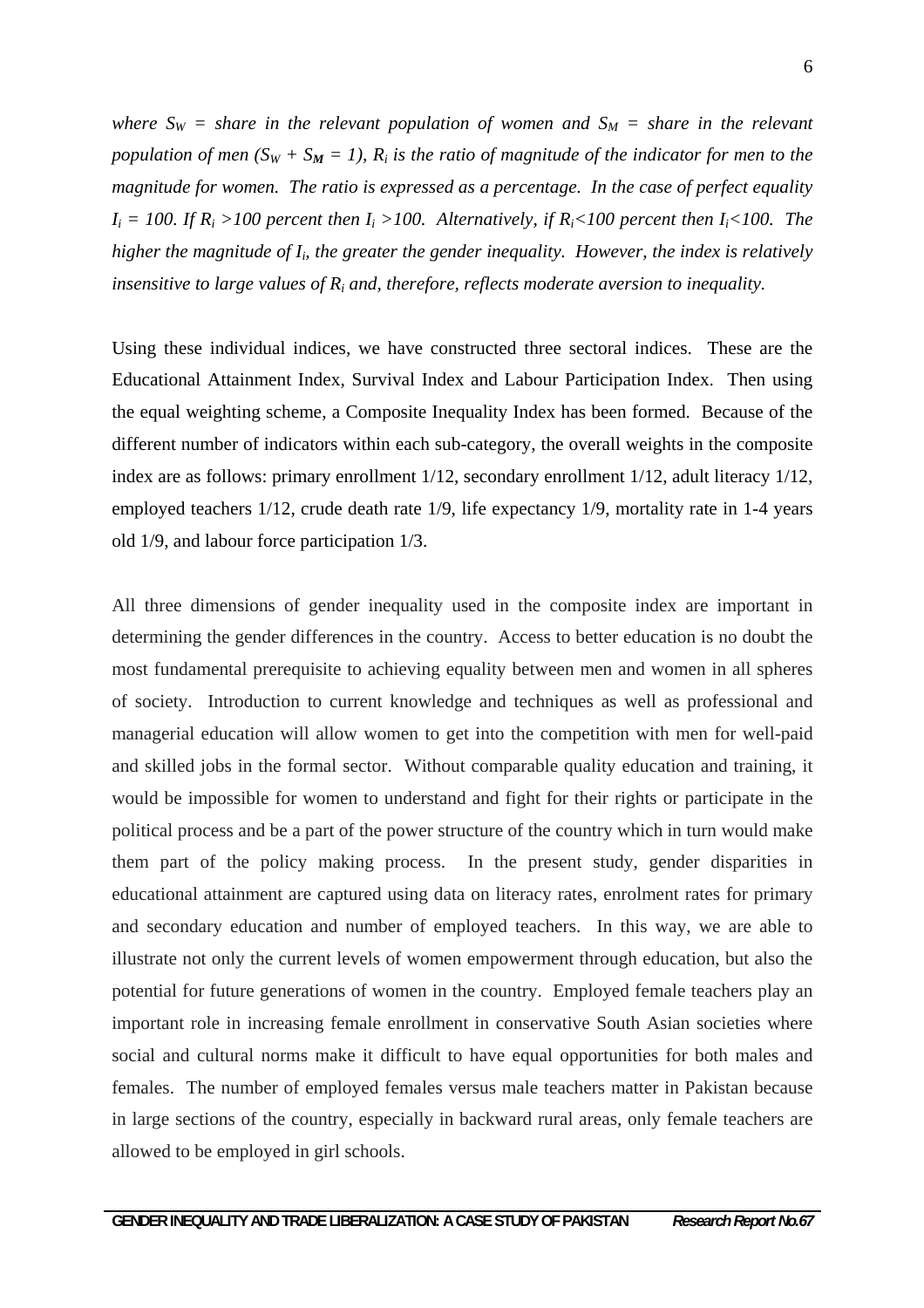where  $S_W =$  share in the relevant population of women and  $S_M =$  share in the relevant *population of men (S<sub>W</sub> + S<sub>M</sub> = 1), R<sub>i</sub> is the ratio of magnitude of the indicator for men to the magnitude for women. The ratio is expressed as a percentage. In the case of perfect equality*   $I_i = 100$ . If  $R_i > 100$  percent then  $I_i > 100$ . Alternatively, if  $R_i < 100$  percent then  $I_i < 100$ . The *higher the magnitude of Ii, the greater the gender inequality. However, the index is relatively insensitive to large values of Ri and, therefore, reflects moderate aversion to inequality.* 

Using these individual indices, we have constructed three sectoral indices. These are the Educational Attainment Index, Survival Index and Labour Participation Index. Then using the equal weighting scheme, a Composite Inequality Index has been formed. Because of the different number of indicators within each sub-category, the overall weights in the composite index are as follows: primary enrollment 1/12, secondary enrollment 1/12, adult literacy 1/12, employed teachers 1/12, crude death rate 1/9, life expectancy 1/9, mortality rate in 1-4 years old 1/9, and labour force participation 1/3.

All three dimensions of gender inequality used in the composite index are important in determining the gender differences in the country. Access to better education is no doubt the most fundamental prerequisite to achieving equality between men and women in all spheres of society. Introduction to current knowledge and techniques as well as professional and managerial education will allow women to get into the competition with men for well-paid and skilled jobs in the formal sector. Without comparable quality education and training, it would be impossible for women to understand and fight for their rights or participate in the political process and be a part of the power structure of the country which in turn would make them part of the policy making process. In the present study, gender disparities in educational attainment are captured using data on literacy rates, enrolment rates for primary and secondary education and number of employed teachers. In this way, we are able to illustrate not only the current levels of women empowerment through education, but also the potential for future generations of women in the country. Employed female teachers play an important role in increasing female enrollment in conservative South Asian societies where social and cultural norms make it difficult to have equal opportunities for both males and females. The number of employed females versus male teachers matter in Pakistan because in large sections of the country, especially in backward rural areas, only female teachers are allowed to be employed in girl schools.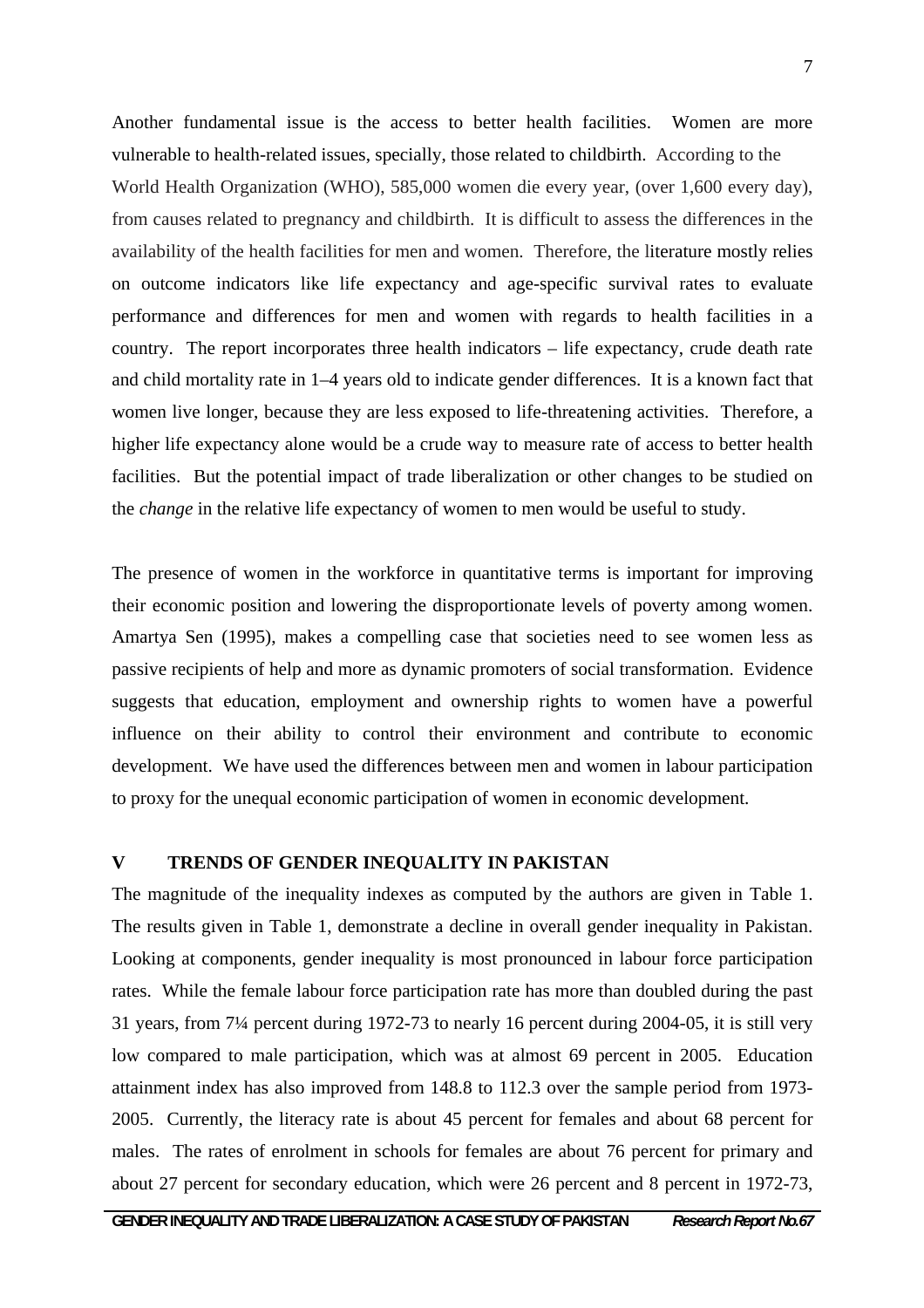Another fundamental issue is the access to better health facilities. Women are more vulnerable to health-related issues, specially, those related to childbirth. According to the World Health Organization (WHO), 585,000 women die every year, (over 1,600 every day), from causes related to pregnancy and childbirth. It is difficult to assess the differences in the availability of the health facilities for men and women. Therefore, the literature mostly relies on outcome indicators like life expectancy and age-specific survival rates to evaluate performance and differences for men and women with regards to health facilities in a country. The report incorporates three health indicators – life expectancy, crude death rate and child mortality rate in 1–4 years old to indicate gender differences. It is a known fact that women live longer, because they are less exposed to life-threatening activities. Therefore, a higher life expectancy alone would be a crude way to measure rate of access to better health facilities. But the potential impact of trade liberalization or other changes to be studied on the *change* in the relative life expectancy of women to men would be useful to study.

The presence of women in the workforce in quantitative terms is important for improving their economic position and lowering the disproportionate levels of poverty among women. Amartya Sen (1995), makes a compelling case that societies need to see women less as passive recipients of help and more as dynamic promoters of social transformation. Evidence suggests that education, employment and ownership rights to women have a powerful influence on their ability to control their environment and contribute to economic development. We have used the differences between men and women in labour participation to proxy for the unequal economic participation of women in economic development.

# **V TRENDS OF GENDER INEQUALITY IN PAKISTAN**

The magnitude of the inequality indexes as computed by the authors are given in Table 1. The results given in Table 1, demonstrate a decline in overall gender inequality in Pakistan. Looking at components, gender inequality is most pronounced in labour force participation rates. While the female labour force participation rate has more than doubled during the past 31 years, from 7¼ percent during 1972-73 to nearly 16 percent during 2004-05, it is still very low compared to male participation, which was at almost 69 percent in 2005. Education attainment index has also improved from 148.8 to 112.3 over the sample period from 1973- 2005. Currently, the literacy rate is about 45 percent for females and about 68 percent for males. The rates of enrolment in schools for females are about 76 percent for primary and about 27 percent for secondary education, which were 26 percent and 8 percent in 1972-73,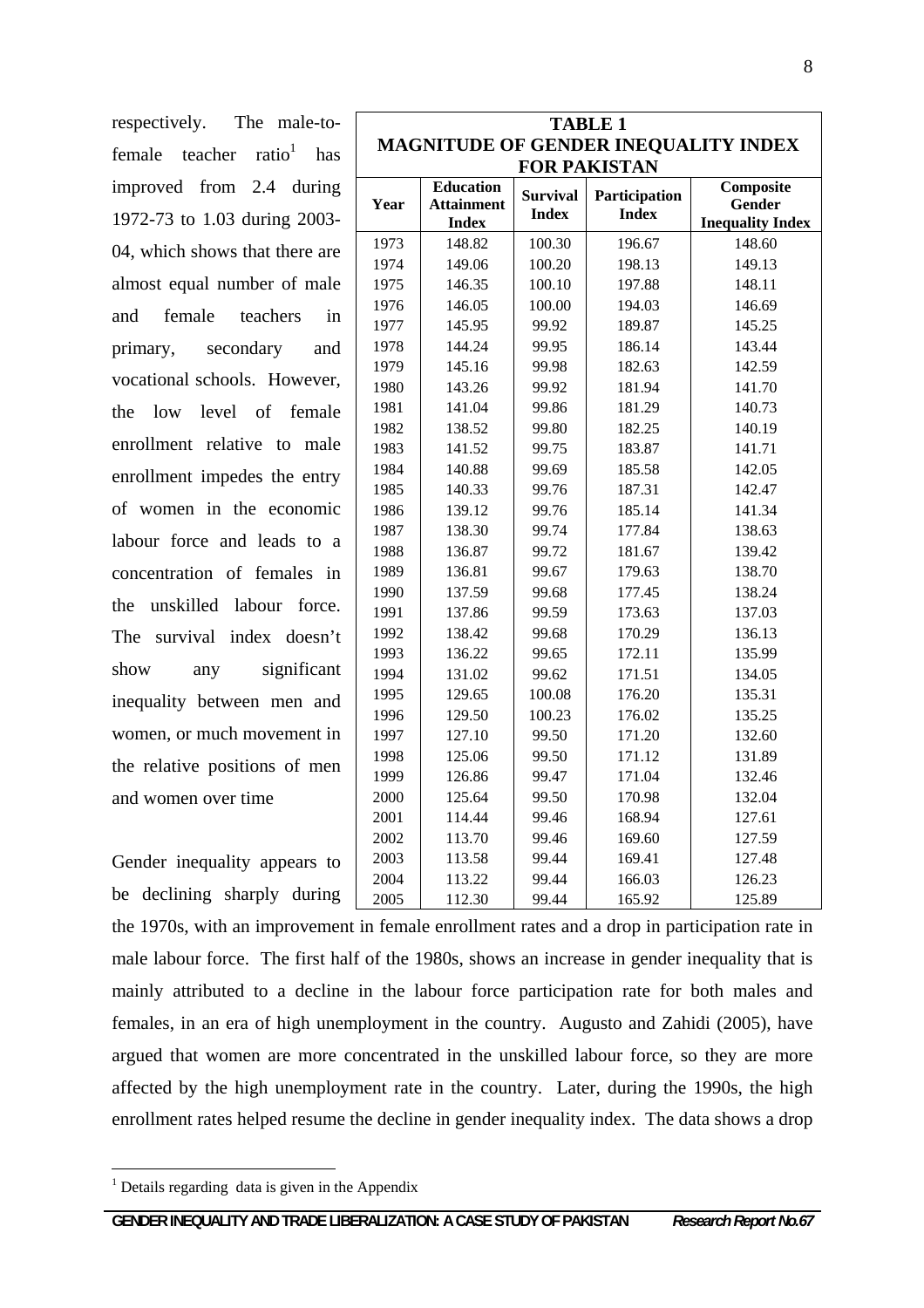respectively. The male-tofemale teacher ratio<sup>1</sup> has improved from 2.4 during 1972-73 to 1.03 during 2003- 04, which shows that there are almost equal number of male and female teachers in primary, secondary and vocational schools. However, the low level of female enrollment relative to male enrollment impedes the entry of women in the economic labour force and leads to a concentration of females in the unskilled labour force. The survival index doesn't show any significant inequality between men and women, or much movement in the relative positions of men and women over time

Gender inequality appears to be declining sharply during

| <b>TABLE 1</b>                              |                                       |                                 |                               |                         |  |  |
|---------------------------------------------|---------------------------------------|---------------------------------|-------------------------------|-------------------------|--|--|
| <b>MAGNITUDE OF GENDER INEQUALITY INDEX</b> |                                       |                                 |                               |                         |  |  |
| <b>FOR PAKISTAN</b>                         |                                       |                                 |                               |                         |  |  |
| Year                                        | <b>Education</b><br><b>Attainment</b> | <b>Survival</b><br><b>Index</b> | Participation<br><b>Index</b> | Composite<br>Gender     |  |  |
|                                             | <b>Index</b>                          |                                 |                               | <b>Inequality Index</b> |  |  |
| 1973                                        | 148.82                                | 100.30                          | 196.67                        | 148.60                  |  |  |
| 1974                                        | 149.06                                | 100.20                          | 198.13                        | 149.13                  |  |  |
| 1975                                        | 146.35                                | 100.10                          | 197.88                        | 148.11                  |  |  |
| 1976                                        | 146.05                                | 100.00                          | 194.03                        | 146.69                  |  |  |
| 1977                                        | 145.95                                | 99.92                           | 189.87                        | 145.25                  |  |  |
| 1978                                        | 144.24                                | 99.95                           | 186.14                        | 143.44                  |  |  |
| 1979                                        | 145.16                                | 99.98                           | 182.63                        | 142.59                  |  |  |
| 1980                                        | 143.26                                | 99.92                           | 181.94                        | 141.70                  |  |  |
| 1981                                        | 141.04                                | 99.86                           | 181.29                        | 140.73                  |  |  |
| 1982                                        | 138.52                                | 99.80                           | 182.25                        | 140.19                  |  |  |
| 1983                                        | 141.52                                | 99.75                           | 183.87                        | 141.71                  |  |  |
| 1984                                        | 140.88                                | 99.69                           | 185.58                        | 142.05                  |  |  |
| 1985                                        | 140.33                                | 99.76                           | 187.31                        | 142.47                  |  |  |
| 1986                                        | 139.12                                | 99.76                           | 185.14                        | 141.34                  |  |  |
| 1987                                        | 138.30                                | 99.74                           | 177.84                        | 138.63                  |  |  |
| 1988                                        | 136.87                                | 99.72                           | 181.67                        | 139.42                  |  |  |
| 1989                                        | 136.81                                | 99.67                           | 179.63                        | 138.70                  |  |  |
| 1990                                        | 137.59                                | 99.68                           | 177.45                        | 138.24                  |  |  |
| 1991                                        | 137.86                                | 99.59                           | 173.63                        | 137.03                  |  |  |
| 1992                                        | 138.42                                | 99.68                           | 170.29                        | 136.13                  |  |  |
| 1993                                        | 136.22                                | 99.65                           | 172.11                        | 135.99                  |  |  |
| 1994                                        | 131.02                                | 99.62                           | 171.51                        | 134.05                  |  |  |
| 1995                                        | 129.65                                | 100.08                          | 176.20                        | 135.31                  |  |  |
| 1996                                        | 129.50                                | 100.23                          | 176.02                        | 135.25                  |  |  |
| 1997                                        | 127.10                                | 99.50                           | 171.20                        | 132.60                  |  |  |
| 1998                                        | 125.06                                | 99.50                           | 171.12                        | 131.89                  |  |  |
| 1999                                        | 126.86                                | 99.47                           | 171.04                        | 132.46                  |  |  |
| 2000                                        | 125.64                                | 99.50                           | 170.98                        | 132.04                  |  |  |
| 2001                                        | 114.44                                | 99.46                           | 168.94                        | 127.61                  |  |  |
| 2002                                        | 113.70                                | 99.46                           | 169.60                        | 127.59                  |  |  |
| 2003                                        | 113.58                                | 99.44                           | 169.41                        | 127.48                  |  |  |
| 2004                                        | 113.22                                | 99.44                           | 166.03                        | 126.23                  |  |  |
| 2005                                        | 112.30                                | 99.44                           | 165.92                        | 125.89                  |  |  |

the 1970s, with an improvement in female enrollment rates and a drop in participation rate in male labour force. The first half of the 1980s, shows an increase in gender inequality that is mainly attributed to a decline in the labour force participation rate for both males and females, in an era of high unemployment in the country. Augusto and Zahidi (2005), have argued that women are more concentrated in the unskilled labour force, so they are more affected by the high unemployment rate in the country. Later, during the 1990s, the high enrollment rates helped resume the decline in gender inequality index. The data shows a drop

 $\overline{a}$ 

<sup>&</sup>lt;sup>1</sup> Details regarding data is given in the Appendix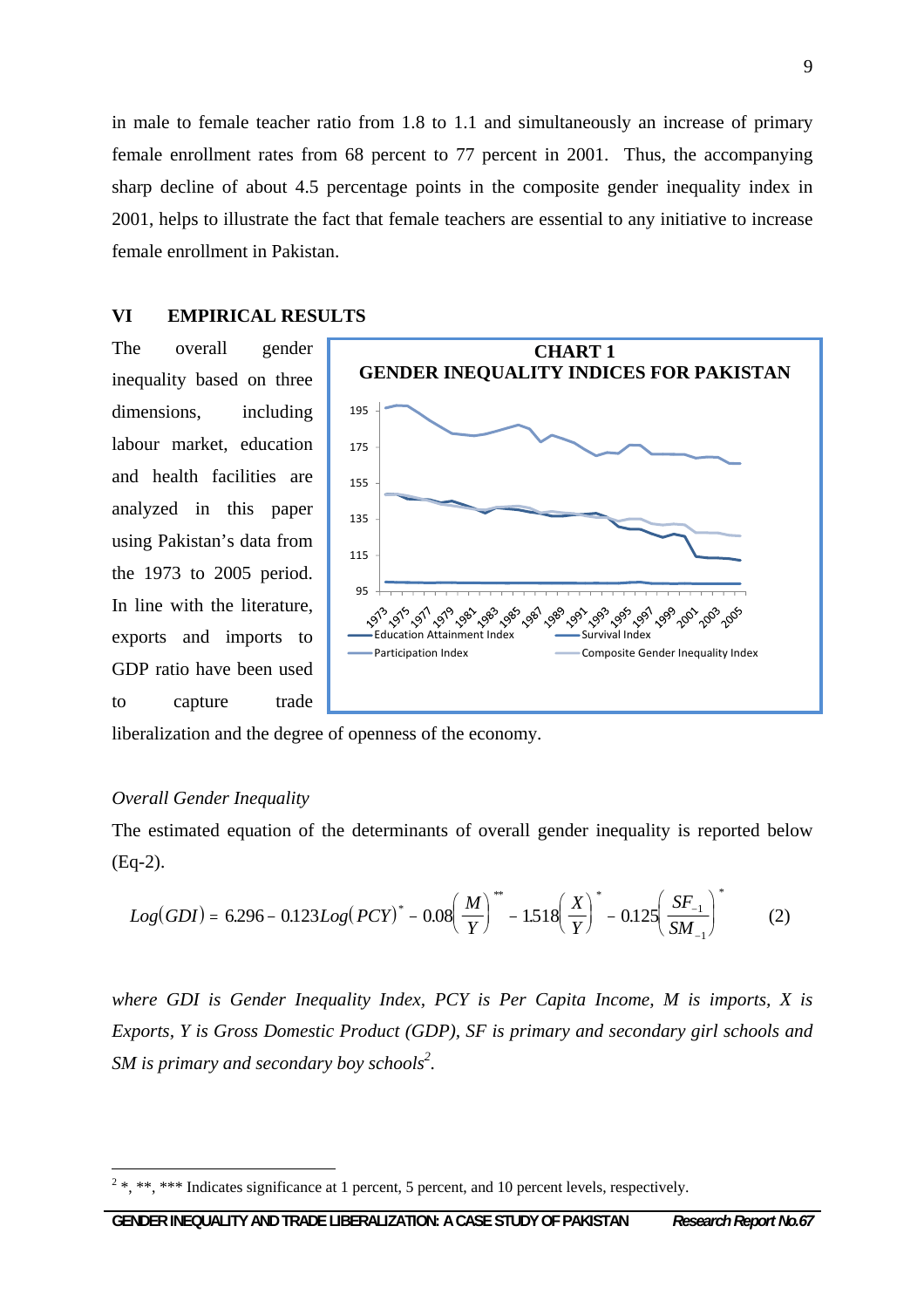in male to female teacher ratio from 1.8 to 1.1 and simultaneously an increase of primary female enrollment rates from 68 percent to 77 percent in 2001. Thus, the accompanying sharp decline of about 4.5 percentage points in the composite gender inequality index in 2001, helps to illustrate the fact that female teachers are essential to any initiative to increase female enrollment in Pakistan.

## **VI EMPIRICAL RESULTS**

The overall gender inequality based on three dimensions, including labour market, education and health facilities are analyzed in this paper using Pakistan's data from the 1973 to 2005 period. In line with the literature, exports and imports to GDP ratio have been used to capture trade



liberalization and the degree of openness of the economy.

#### *Overall Gender Inequality*

 $\overline{a}$ 

The estimated equation of the determinants of overall gender inequality is reported below (Eq-2).

$$
Log(GDI) = 6.296 - 0.123Log(PCY)^* - 0.08\left(\frac{M}{Y}\right)^* - 1.518\left(\frac{X}{Y}\right)^* - 0.125\left(\frac{SF_{-1}}{SM_{-1}}\right)^* \tag{2}
$$

*where GDI is Gender Inequality Index, PCY is Per Capita Income, M is imports, X is Exports, Y is Gross Domestic Product (GDP), SF is primary and secondary girl schools and SM is primary and secondary boy schools<sup>2</sup>.* 

 $2^2$ , \*\*, \*\*\* Indicates significance at 1 percent, 5 percent, and 10 percent levels, respectively.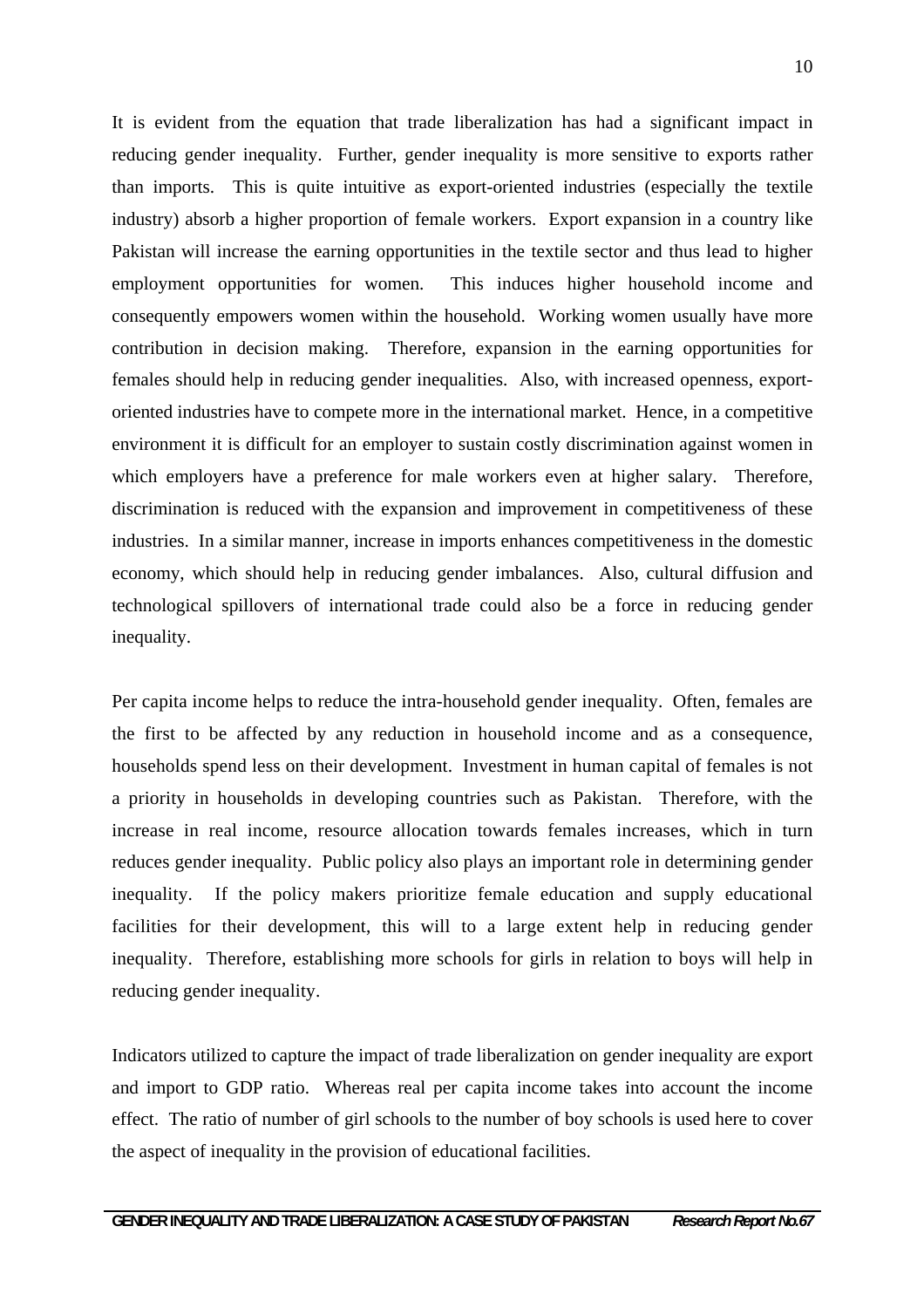It is evident from the equation that trade liberalization has had a significant impact in reducing gender inequality. Further, gender inequality is more sensitive to exports rather than imports. This is quite intuitive as export-oriented industries (especially the textile industry) absorb a higher proportion of female workers. Export expansion in a country like Pakistan will increase the earning opportunities in the textile sector and thus lead to higher employment opportunities for women. This induces higher household income and consequently empowers women within the household. Working women usually have more contribution in decision making. Therefore, expansion in the earning opportunities for females should help in reducing gender inequalities. Also, with increased openness, exportoriented industries have to compete more in the international market. Hence, in a competitive environment it is difficult for an employer to sustain costly discrimination against women in which employers have a preference for male workers even at higher salary. Therefore, discrimination is reduced with the expansion and improvement in competitiveness of these industries. In a similar manner, increase in imports enhances competitiveness in the domestic economy, which should help in reducing gender imbalances. Also, cultural diffusion and technological spillovers of international trade could also be a force in reducing gender inequality.

Per capita income helps to reduce the intra-household gender inequality. Often, females are the first to be affected by any reduction in household income and as a consequence, households spend less on their development. Investment in human capital of females is not a priority in households in developing countries such as Pakistan. Therefore, with the increase in real income, resource allocation towards females increases, which in turn reduces gender inequality. Public policy also plays an important role in determining gender inequality. If the policy makers prioritize female education and supply educational facilities for their development, this will to a large extent help in reducing gender inequality. Therefore, establishing more schools for girls in relation to boys will help in reducing gender inequality.

Indicators utilized to capture the impact of trade liberalization on gender inequality are export and import to GDP ratio. Whereas real per capita income takes into account the income effect. The ratio of number of girl schools to the number of boy schools is used here to cover the aspect of inequality in the provision of educational facilities.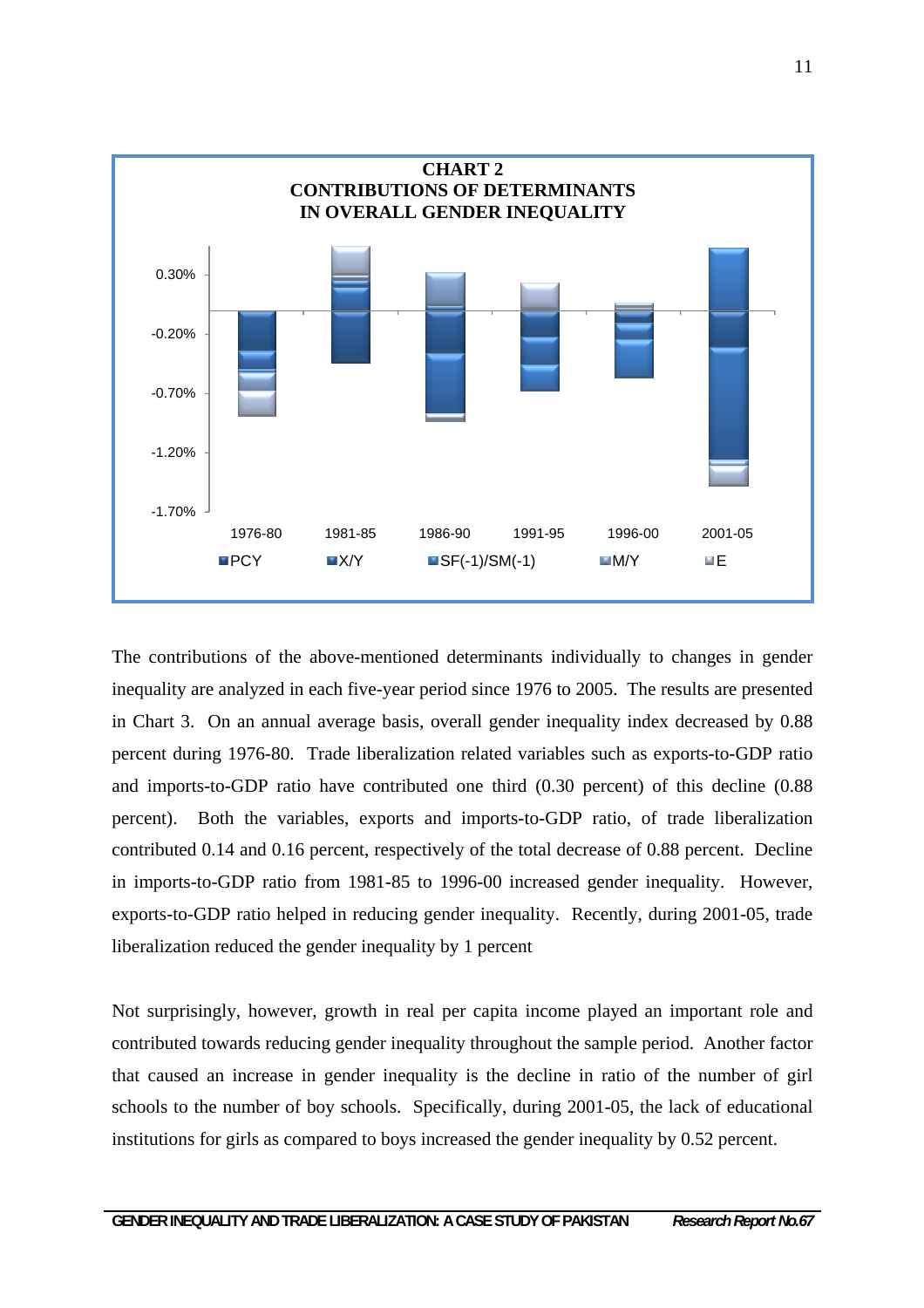

The contributions of the above-mentioned determinants individually to changes in gender inequality are analyzed in each five-year period since 1976 to 2005. The results are presented in Chart 3. On an annual average basis, overall gender inequality index decreased by 0.88 percent during 1976-80. Trade liberalization related variables such as exports-to-GDP ratio and imports-to-GDP ratio have contributed one third (0.30 percent) of this decline (0.88 percent). Both the variables, exports and imports-to-GDP ratio, of trade liberalization contributed 0.14 and 0.16 percent, respectively of the total decrease of 0.88 percent. Decline in imports-to-GDP ratio from 1981-85 to 1996-00 increased gender inequality. However, exports-to-GDP ratio helped in reducing gender inequality. Recently, during 2001-05, trade liberalization reduced the gender inequality by 1 percent

Not surprisingly, however, growth in real per capita income played an important role and contributed towards reducing gender inequality throughout the sample period. Another factor that caused an increase in gender inequality is the decline in ratio of the number of girl schools to the number of boy schools. Specifically, during 2001-05, the lack of educational institutions for girls as compared to boys increased the gender inequality by 0.52 percent.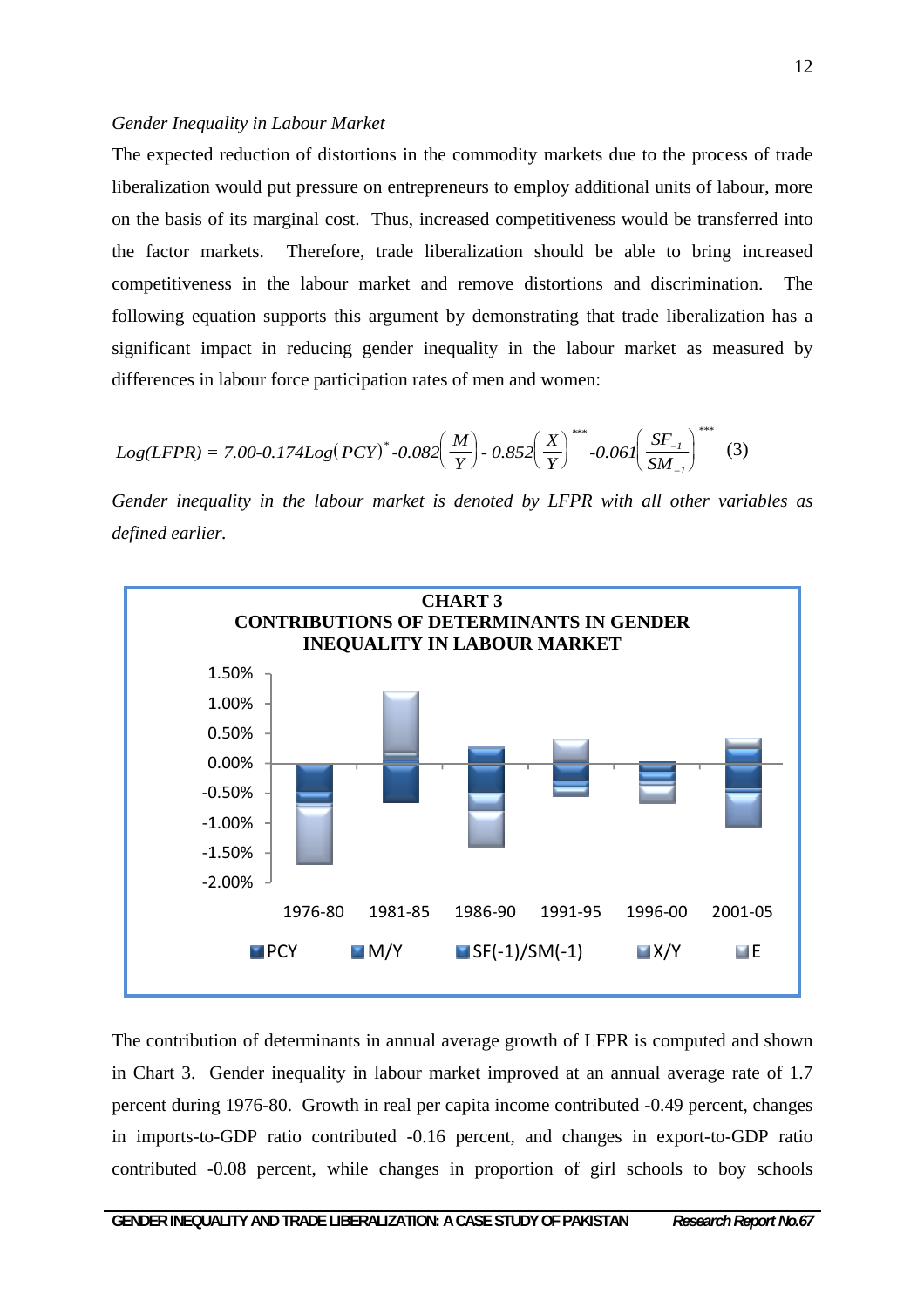#### *Gender Inequality in Labour Market*

The expected reduction of distortions in the commodity markets due to the process of trade liberalization would put pressure on entrepreneurs to employ additional units of labour, more on the basis of its marginal cost. Thus, increased competitiveness would be transferred into the factor markets. Therefore, trade liberalization should be able to bring increased competitiveness in the labour market and remove distortions and discrimination. The following equation supports this argument by demonstrating that trade liberalization has a significant impact in reducing gender inequality in the labour market as measured by differences in labour force participation rates of men and women:

$$
Log(LFPR) = 7.00-0.174Log(PCY)^* - 0.082\left(\frac{M}{Y}\right) - 0.852\left(\frac{X}{Y}\right)^{***} - 0.061\left(\frac{SF_{-1}}{SM_{-1}}\right)^{***}
$$
 (3)

*Gender inequality in the labour market is denoted by LFPR with all other variables as defined earlier.* 



The contribution of determinants in annual average growth of LFPR is computed and shown in Chart 3. Gender inequality in labour market improved at an annual average rate of 1.7 percent during 1976-80. Growth in real per capita income contributed -0.49 percent, changes in imports-to-GDP ratio contributed -0.16 percent, and changes in export-to-GDP ratio contributed -0.08 percent, while changes in proportion of girl schools to boy schools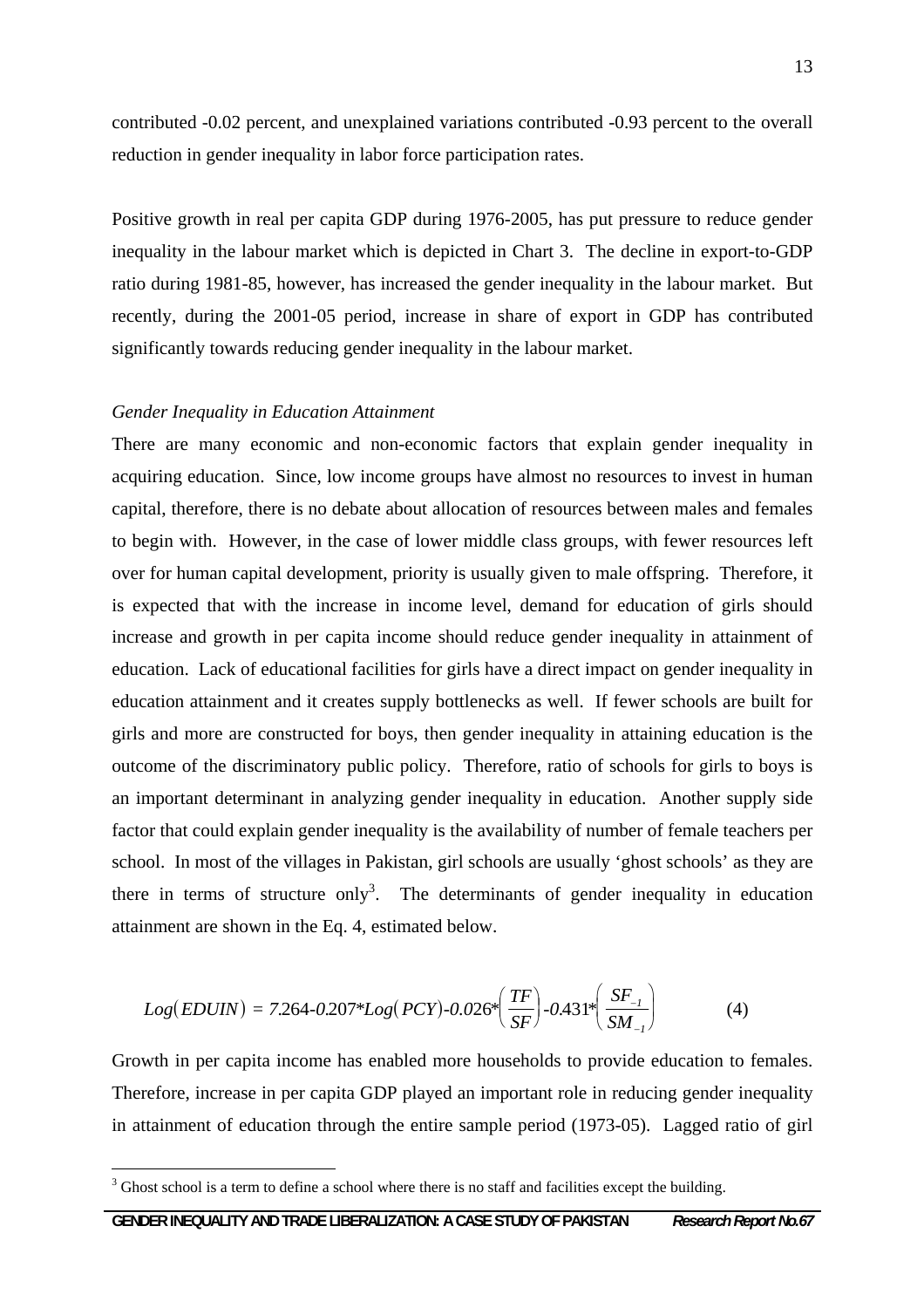contributed -0.02 percent, and unexplained variations contributed -0.93 percent to the overall reduction in gender inequality in labor force participation rates.

Positive growth in real per capita GDP during 1976-2005, has put pressure to reduce gender inequality in the labour market which is depicted in Chart 3. The decline in export-to-GDP ratio during 1981-85, however, has increased the gender inequality in the labour market. But recently, during the 2001-05 period, increase in share of export in GDP has contributed significantly towards reducing gender inequality in the labour market.

#### *Gender Inequality in Education Attainment*

There are many economic and non-economic factors that explain gender inequality in acquiring education. Since, low income groups have almost no resources to invest in human capital, therefore, there is no debate about allocation of resources between males and females to begin with. However, in the case of lower middle class groups, with fewer resources left over for human capital development, priority is usually given to male offspring. Therefore, it is expected that with the increase in income level, demand for education of girls should increase and growth in per capita income should reduce gender inequality in attainment of education. Lack of educational facilities for girls have a direct impact on gender inequality in education attainment and it creates supply bottlenecks as well. If fewer schools are built for girls and more are constructed for boys, then gender inequality in attaining education is the outcome of the discriminatory public policy. Therefore, ratio of schools for girls to boys is an important determinant in analyzing gender inequality in education. Another supply side factor that could explain gender inequality is the availability of number of female teachers per school. In most of the villages in Pakistan, girl schools are usually 'ghost schools' as they are there in terms of structure only<sup>3</sup>. The determinants of gender inequality in education attainment are shown in the Eq. 4, estimated below.

$$
Log(EDUIN) = 7.264 - 0.207 * Log(PCY) - 0.026 * \left(\frac{TF}{SF}\right) - 0.431 * \left(\frac{SF_{-1}}{SM_{-1}}\right)
$$
(4)

Growth in per capita income has enabled more households to provide education to females. Therefore, increase in per capita GDP played an important role in reducing gender inequality in attainment of education through the entire sample period (1973-05). Lagged ratio of girl

 $\overline{a}$ 

 $3$  Ghost school is a term to define a school where there is no staff and facilities except the building.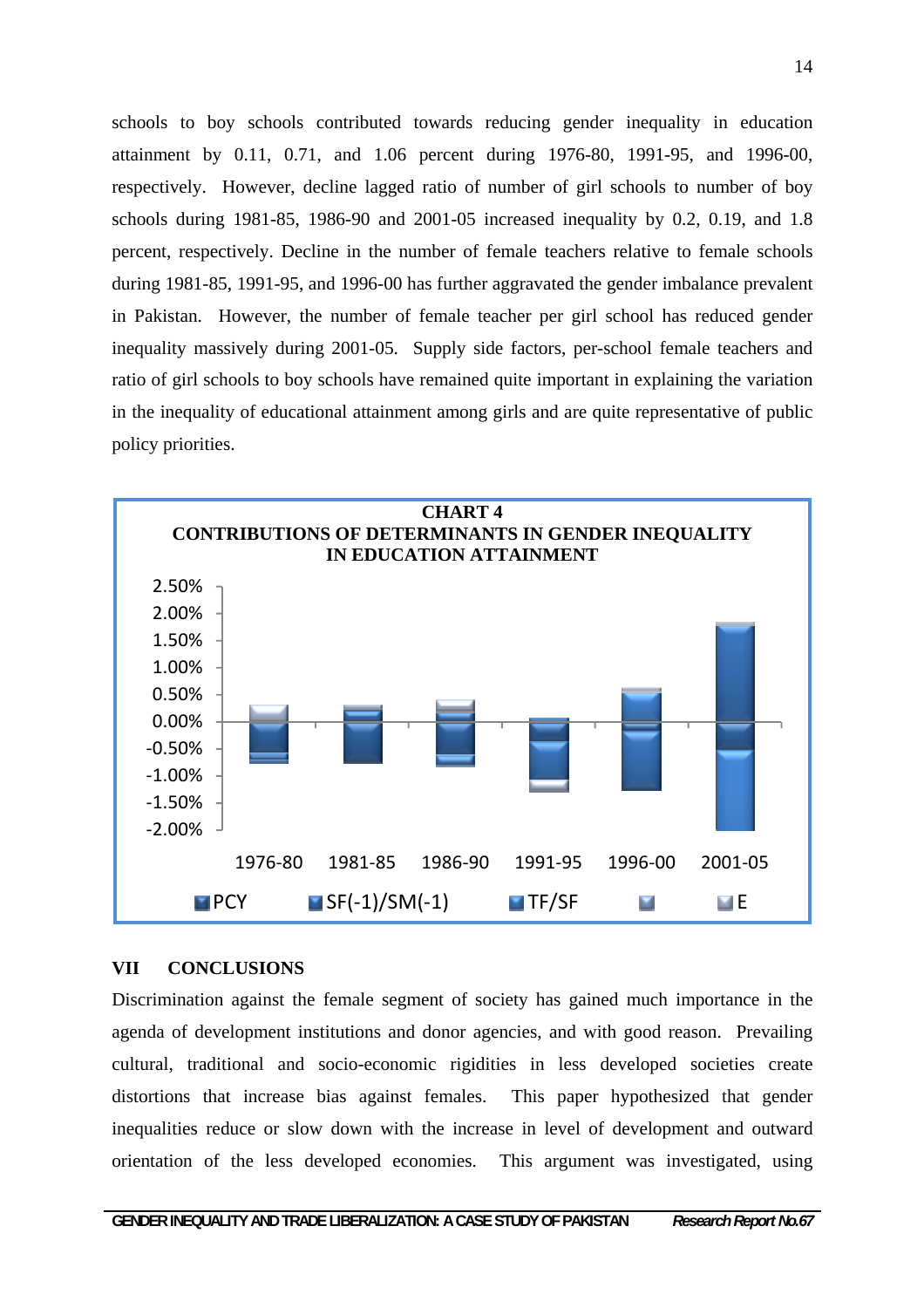schools to boy schools contributed towards reducing gender inequality in education attainment by 0.11, 0.71, and 1.06 percent during 1976-80, 1991-95, and 1996-00, respectively. However, decline lagged ratio of number of girl schools to number of boy schools during 1981-85, 1986-90 and 2001-05 increased inequality by 0.2, 0.19, and 1.8 percent, respectively. Decline in the number of female teachers relative to female schools during 1981-85, 1991-95, and 1996-00 has further aggravated the gender imbalance prevalent in Pakistan. However, the number of female teacher per girl school has reduced gender inequality massively during 2001-05. Supply side factors, per-school female teachers and ratio of girl schools to boy schools have remained quite important in explaining the variation in the inequality of educational attainment among girls and are quite representative of public policy priorities.



#### **VII CONCLUSIONS**

Discrimination against the female segment of society has gained much importance in the agenda of development institutions and donor agencies, and with good reason. Prevailing cultural, traditional and socio-economic rigidities in less developed societies create distortions that increase bias against females. This paper hypothesized that gender inequalities reduce or slow down with the increase in level of development and outward orientation of the less developed economies. This argument was investigated, using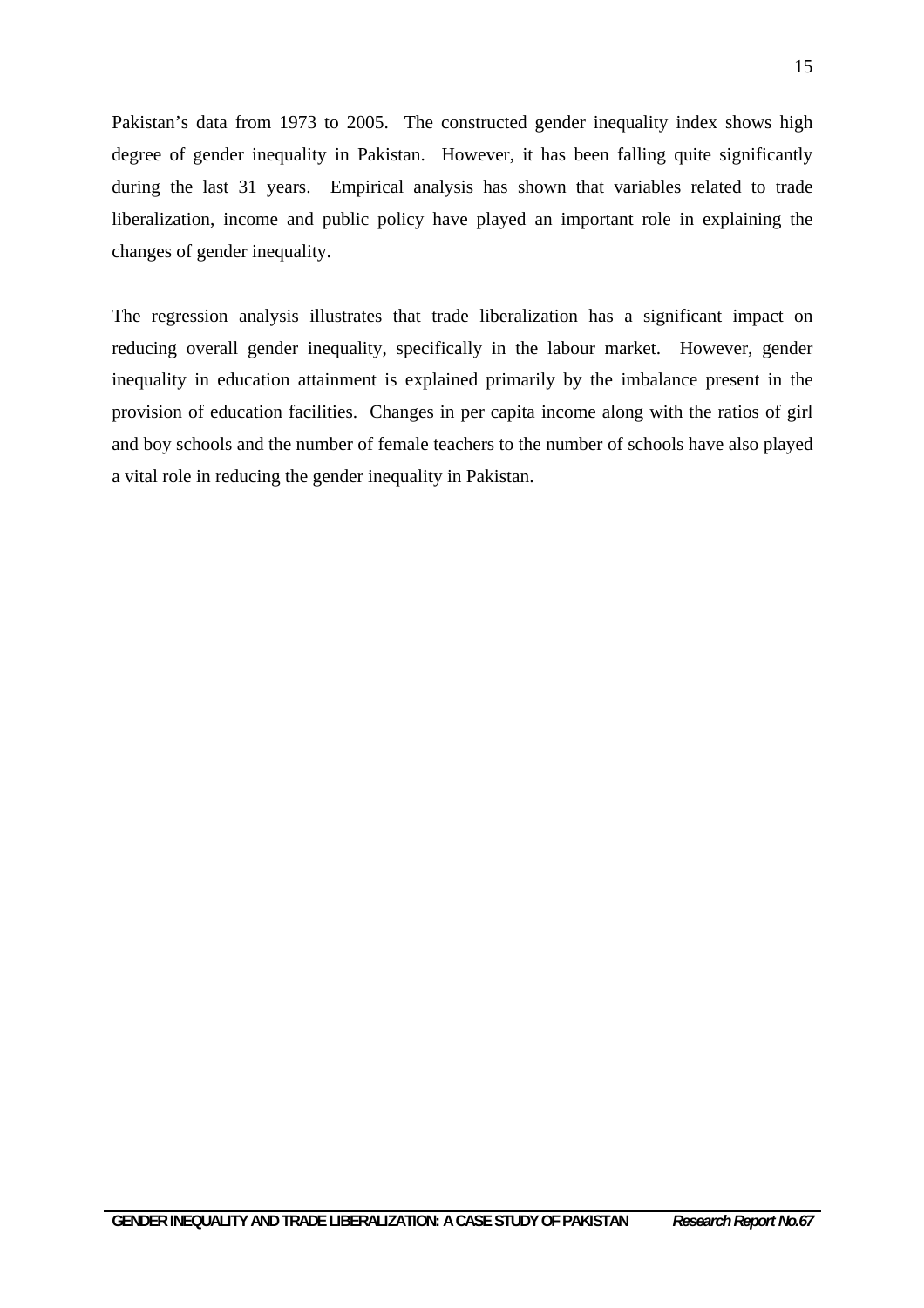Pakistan's data from 1973 to 2005. The constructed gender inequality index shows high degree of gender inequality in Pakistan. However, it has been falling quite significantly during the last 31 years. Empirical analysis has shown that variables related to trade liberalization, income and public policy have played an important role in explaining the changes of gender inequality.

The regression analysis illustrates that trade liberalization has a significant impact on reducing overall gender inequality, specifically in the labour market. However, gender inequality in education attainment is explained primarily by the imbalance present in the provision of education facilities. Changes in per capita income along with the ratios of girl and boy schools and the number of female teachers to the number of schools have also played a vital role in reducing the gender inequality in Pakistan.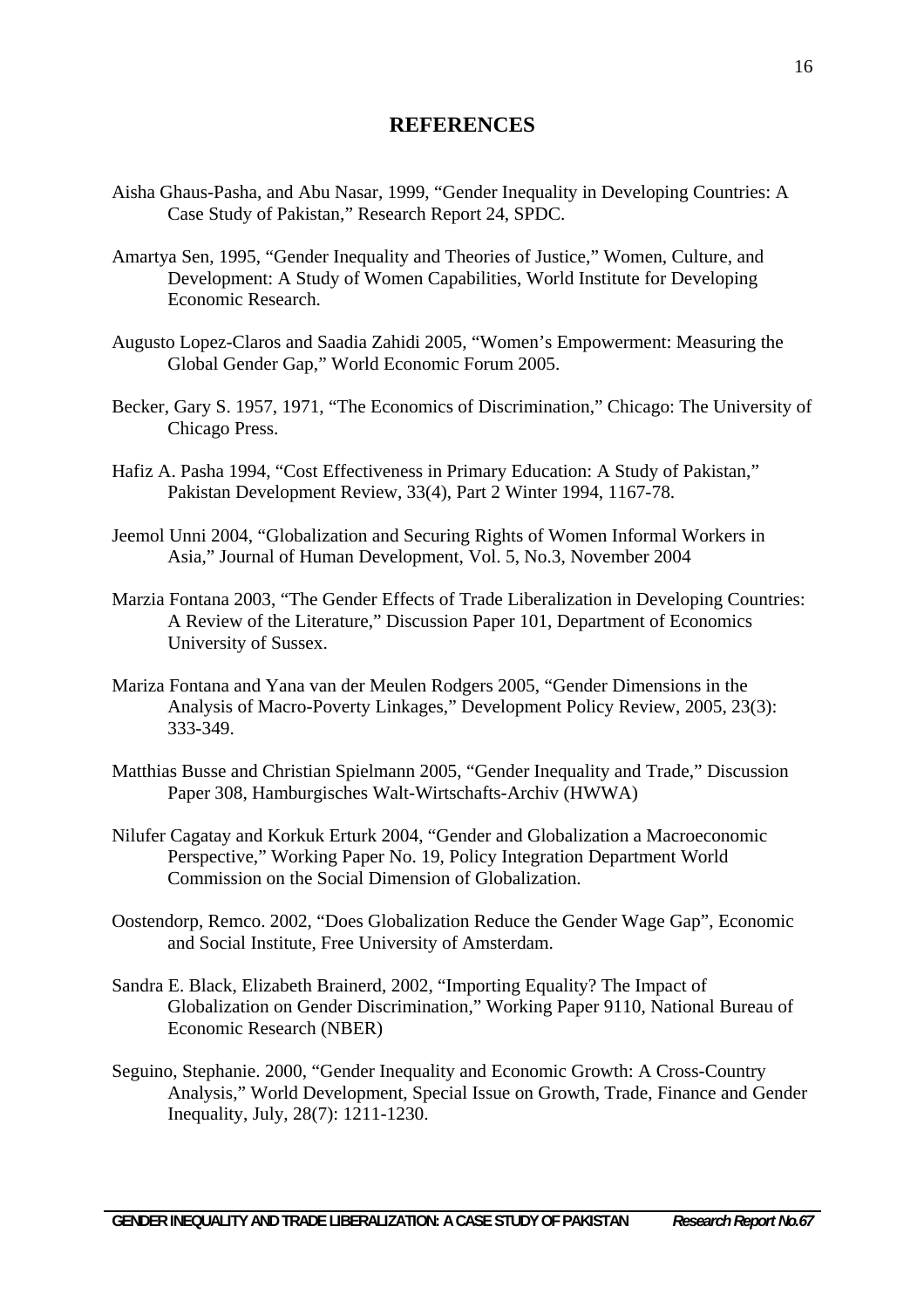# **REFERENCES**

- Aisha Ghaus-Pasha, and Abu Nasar, 1999, "Gender Inequality in Developing Countries: A Case Study of Pakistan," Research Report 24, SPDC.
- Amartya Sen, 1995, "Gender Inequality and Theories of Justice," Women, Culture, and Development: A Study of Women Capabilities, World Institute for Developing Economic Research.
- Augusto Lopez-Claros and Saadia Zahidi 2005, "Women's Empowerment: Measuring the Global Gender Gap," World Economic Forum 2005.
- Becker, Gary S. 1957, 1971, "The Economics of Discrimination," Chicago: The University of Chicago Press.
- Hafiz A. Pasha 1994, "Cost Effectiveness in Primary Education: A Study of Pakistan," Pakistan Development Review, 33(4), Part 2 Winter 1994, 1167-78.
- Jeemol Unni 2004, "Globalization and Securing Rights of Women Informal Workers in Asia," Journal of Human Development, Vol. 5, No.3, November 2004
- Marzia Fontana 2003, "The Gender Effects of Trade Liberalization in Developing Countries: A Review of the Literature," Discussion Paper 101, Department of Economics University of Sussex.
- Mariza Fontana and Yana van der Meulen Rodgers 2005, "Gender Dimensions in the Analysis of Macro-Poverty Linkages," Development Policy Review, 2005, 23(3): 333-349.
- Matthias Busse and Christian Spielmann 2005, "Gender Inequality and Trade," Discussion Paper 308, Hamburgisches Walt-Wirtschafts-Archiv (HWWA)
- Nilufer Cagatay and Korkuk Erturk 2004, "Gender and Globalization a Macroeconomic Perspective," Working Paper No. 19, Policy Integration Department World Commission on the Social Dimension of Globalization.
- Oostendorp, Remco. 2002, "Does Globalization Reduce the Gender Wage Gap", Economic and Social Institute, Free University of Amsterdam.
- Sandra E. Black, Elizabeth Brainerd, 2002, "Importing Equality? The Impact of Globalization on Gender Discrimination," Working Paper 9110, National Bureau of Economic Research (NBER)
- Seguino, Stephanie. 2000, "Gender Inequality and Economic Growth: A Cross-Country Analysis," World Development, Special Issue on Growth, Trade, Finance and Gender Inequality, July, 28(7): 1211-1230.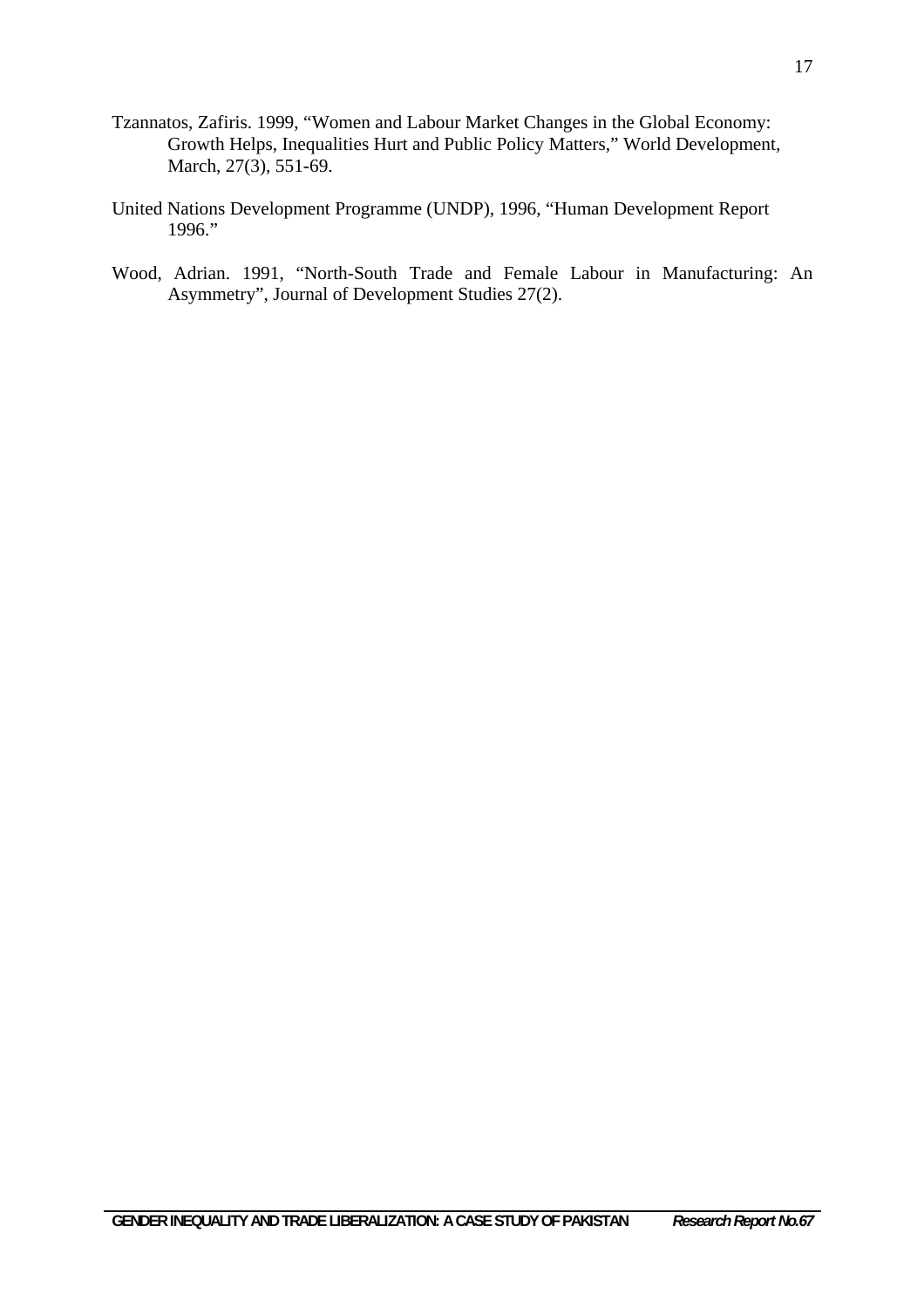- Tzannatos, Zafiris. 1999, "Women and Labour Market Changes in the Global Economy: Growth Helps, Inequalities Hurt and Public Policy Matters," World Development, March, 27(3), 551-69.
- United Nations Development Programme (UNDP), 1996, "Human Development Report 1996."
- Wood, Adrian. 1991, "North-South Trade and Female Labour in Manufacturing: An Asymmetry", Journal of Development Studies 27(2).